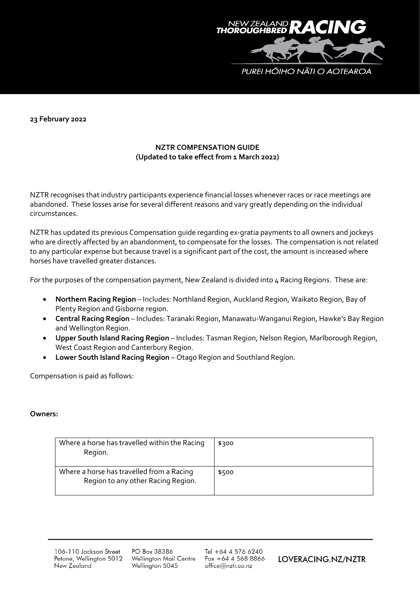

**23 February 2022**

## **NZTR COMPENSATION GUIDE (Updated to take effect from 1 March 2022)**

NZTR recognises that industry participants experience financial losses whenever races or race meetings are abandoned. These losses arise for several different reasons and vary greatly depending on the individual circumstances.

NZTR has updated its previous Compensation guide regarding ex-gratia payments to all owners and jockeys who are directly affected by an abandonment, to compensate for the losses. The compensation is not related to any particular expense but because travel is a significant part of the cost, the amount is increased where horses have travelled greater distances.

For the purposes of the compensation payment, New Zealand is divided into 4 Racing Regions. These are:

- **Northern Racing Region** Includes: Northland Region, Auckland Region, Waikato Region, Bay of Plenty Region and Gisborne region.
- **Central Racing Region** Includes: Taranaki Region, Manawatu-Wanganui Region, Hawke's Bay Region and Wellington Region.
- **Upper South Island Racing Region** Includes: Tasman Region, Nelson Region, Marlborough Region, West Coast Region and Canterbury Region.
- **Lower South Island Racing Region** Otago Region and Southland Region.

Compensation is paid as follows:

## **Owners:**

| Where a horse has travelled within the Racing<br>Region.                        | \$300 |
|---------------------------------------------------------------------------------|-------|
| Where a horse has travelled from a Racing<br>Region to any other Racing Region. | \$500 |

106-110 Jackson Street Petone, Wellington 5012 New Zealand

PO Box 38386 Wellington Mail Centre Wellington 5045

Tel +64 4 576 6240  $Fax + 6445688866$ office@nztr.co.nz

LOVERACING.NZ/NZTR